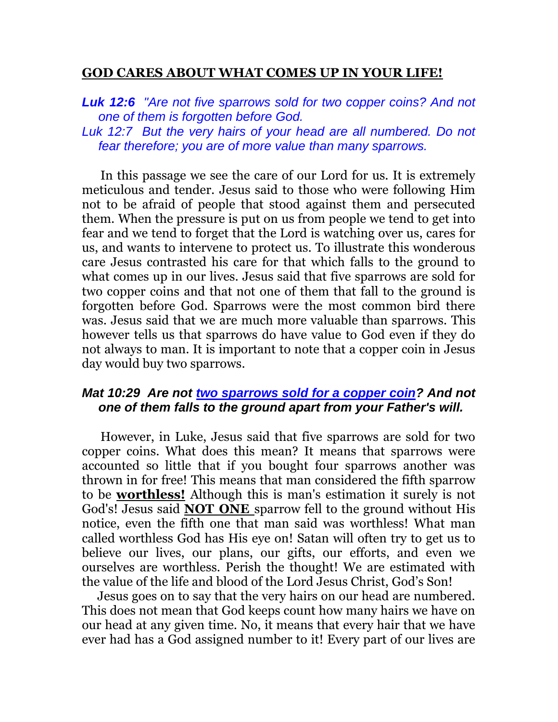## **GOD CARES ABOUT WHAT COMES UP IN YOUR LIFE!**

*Luk 12:6 "Are not five sparrows sold for two copper coins? And not one of them is forgotten before God.* 

*Luk 12:7 But the very hairs of your head are all numbered. Do not fear therefore; you are of more value than many sparrows.* 

 In this passage we see the care of our Lord for us. It is extremely meticulous and tender. Jesus said to those who were following Him not to be afraid of people that stood against them and persecuted them. When the pressure is put on us from people we tend to get into fear and we tend to forget that the Lord is watching over us, cares for us, and wants to intervene to protect us. To illustrate this wonderous care Jesus contrasted his care for that which falls to the ground to what comes up in our lives. Jesus said that five sparrows are sold for two copper coins and that not one of them that fall to the ground is forgotten before God. Sparrows were the most common bird there was. Jesus said that we are much more valuable than sparrows. This however tells us that sparrows do have value to God even if they do not always to man. It is important to note that a copper coin in Jesus day would buy two sparrows.

## *Mat 10:29 Are not two sparrows sold for a copper coin? And not one of them falls to the ground apart from your Father's will.*

 However, in Luke, Jesus said that five sparrows are sold for two copper coins. What does this mean? It means that sparrows were accounted so little that if you bought four sparrows another was thrown in for free! This means that man considered the fifth sparrow to be **worthless!** Although this is man's estimation it surely is not God's! Jesus said **NOT ONE** sparrow fell to the ground without His notice, even the fifth one that man said was worthless! What man called worthless God has His eye on! Satan will often try to get us to believe our lives, our plans, our gifts, our efforts, and even we ourselves are worthless. Perish the thought! We are estimated with the value of the life and blood of the Lord Jesus Christ, God's Son!

 Jesus goes on to say that the very hairs on our head are numbered. This does not mean that God keeps count how many hairs we have on our head at any given time. No, it means that every hair that we have ever had has a God assigned number to it! Every part of our lives are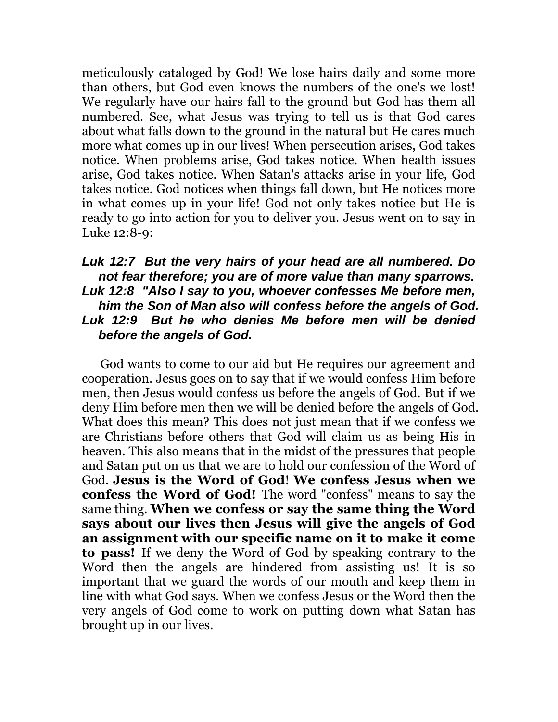meticulously cataloged by God! We lose hairs daily and some more than others, but God even knows the numbers of the one's we lost! We regularly have our hairs fall to the ground but God has them all numbered. See, what Jesus was trying to tell us is that God cares about what falls down to the ground in the natural but He cares much more what comes up in our lives! When persecution arises, God takes notice. When problems arise, God takes notice. When health issues arise, God takes notice. When Satan's attacks arise in your life, God takes notice. God notices when things fall down, but He notices more in what comes up in your life! God not only takes notice but He is ready to go into action for you to deliver you. Jesus went on to say in Luke 12:8-9:

## *Luk 12:7 But the very hairs of your head are all numbered. Do not fear therefore; you are of more value than many sparrows. Luk 12:8 "Also I say to you, whoever confesses Me before men, him the Son of Man also will confess before the angels of God. Luk 12:9 But he who denies Me before men will be denied before the angels of God.*

 God wants to come to our aid but He requires our agreement and cooperation. Jesus goes on to say that if we would confess Him before men, then Jesus would confess us before the angels of God. But if we deny Him before men then we will be denied before the angels of God. What does this mean? This does not just mean that if we confess we are Christians before others that God will claim us as being His in heaven. This also means that in the midst of the pressures that people and Satan put on us that we are to hold our confession of the Word of God. **Jesus is the Word of God**! **We confess Jesus when we confess the Word of God!** The word "confess" means to say the same thing. **When we confess or say the same thing the Word says about our lives then Jesus will give the angels of God an assignment with our specific name on it to make it come to pass!** If we deny the Word of God by speaking contrary to the Word then the angels are hindered from assisting us! It is so important that we guard the words of our mouth and keep them in line with what God says. When we confess Jesus or the Word then the very angels of God come to work on putting down what Satan has brought up in our lives.